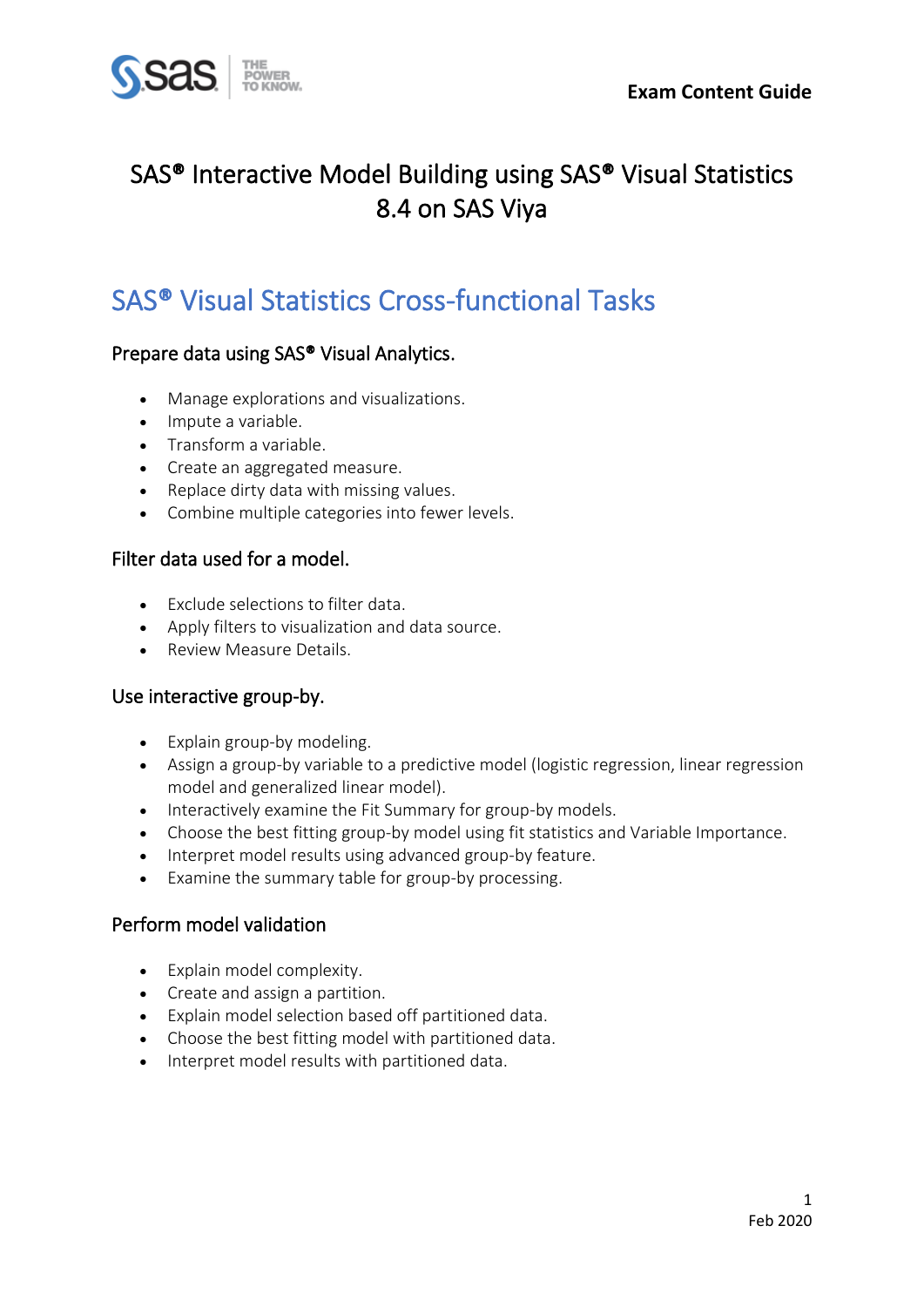

## SAS® Interactive Model Building using SAS® Visual Statistics 8.4 on SAS Viya

## SAS® Visual Statistics Cross-functional Tasks

## Prepare data using SAS® Visual Analytics.

- Manage explorations and visualizations.
- Impute a variable.
- Transform a variable.
- Create an aggregated measure.
- Replace dirty data with missing values.
- Combine multiple categories into fewer levels.

### Filter data used for a model.

- Exclude selections to filter data.
- Apply filters to visualization and data source.
- Review Measure Details.

#### Use interactive group-by.

- Explain group-by modeling.
- Assign a group-by variable to a predictive model (logistic regression, linear regression model and generalized linear model).
- Interactively examine the Fit Summary for group-by models.
- Choose the best fitting group-by model using fit statistics and Variable Importance.
- Interpret model results using advanced group-by feature.
- Examine the summary table for group-by processing.

#### Perform model validation

- Explain model complexity.
- Create and assign a partition.
- Explain model selection based off partitioned data.
- Choose the best fitting model with partitioned data.
- Interpret model results with partitioned data.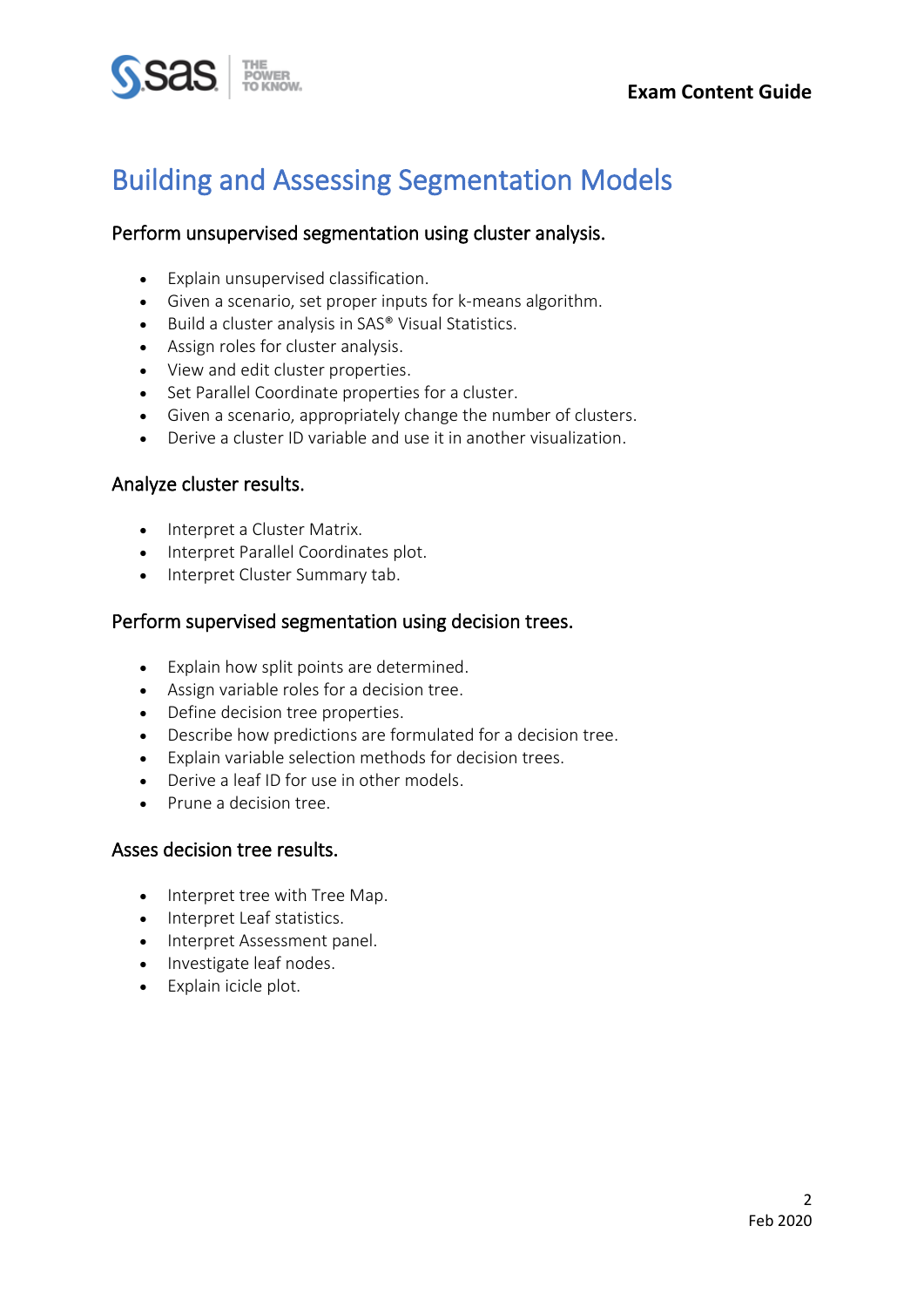# Building and Assessing Segmentation Models

### Perform unsupervised segmentation using cluster analysis.

- Explain unsupervised classification.
- Given a scenario, set proper inputs for k-means algorithm.
- Build a cluster analysis in SAS® Visual Statistics.
- Assign roles for cluster analysis.
- View and edit cluster properties.
- Set Parallel Coordinate properties for a cluster.
- Given a scenario, appropriately change the number of clusters.
- Derive a cluster ID variable and use it in another visualization.

#### Analyze cluster results.

- Interpret a Cluster Matrix.
- Interpret Parallel Coordinates plot.
- Interpret Cluster Summary tab.

### Perform supervised segmentation using decision trees.

- Explain how split points are determined.
- Assign variable roles for a decision tree.
- Define decision tree properties.
- Describe how predictions are formulated for a decision tree.
- Explain variable selection methods for decision trees.
- Derive a leaf ID for use in other models
- Prune a decision tree.

#### Asses decision tree results.

- Interpret tree with Tree Map.
- Interpret Leaf statistics.
- Interpret Assessment panel.
- Investigate leaf nodes.
- Explain icicle plot.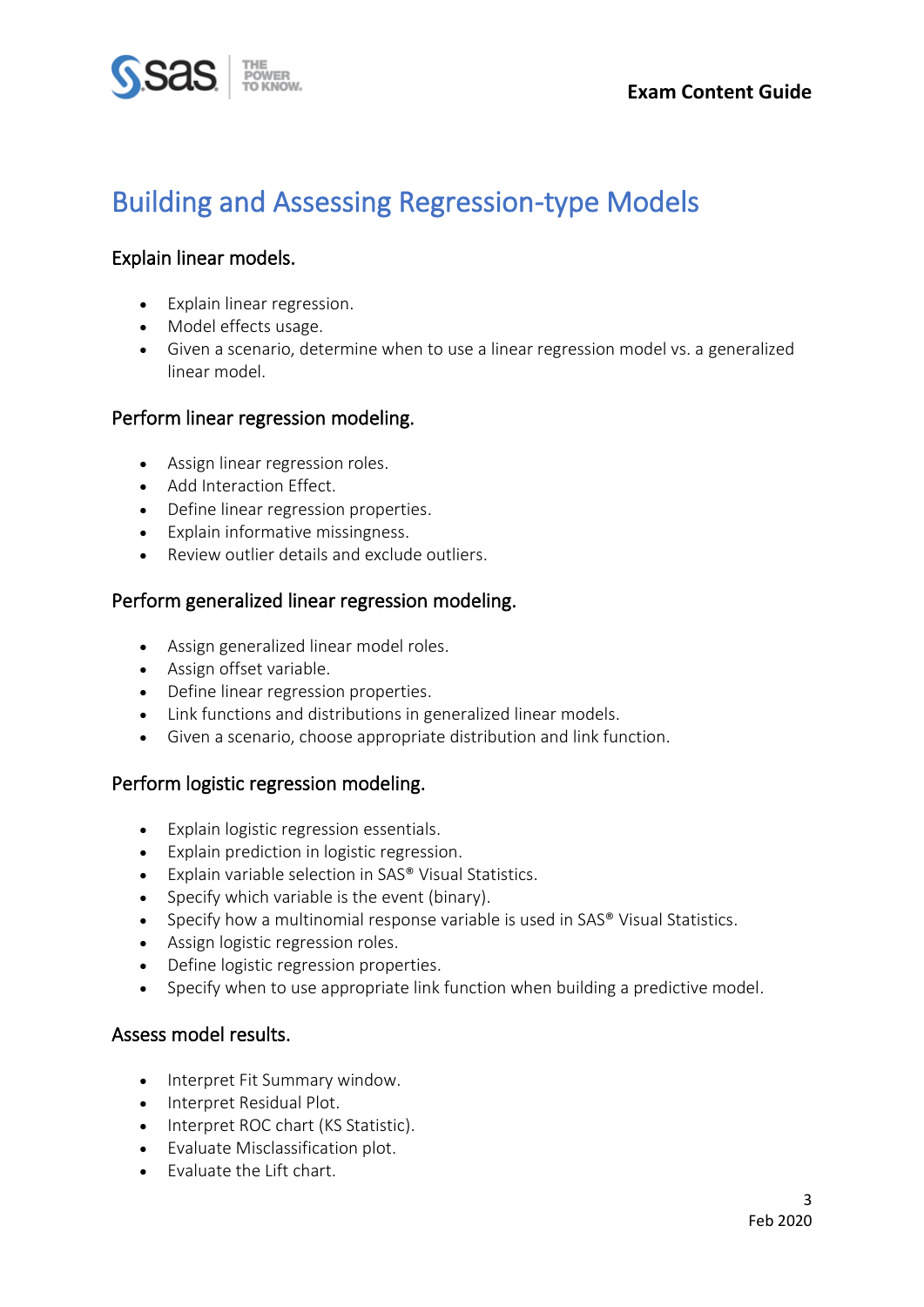## Building and Assessing Regression-type Models

## Explain linear models.

- Explain linear regression.
- Model effects usage.
- Given a scenario, determine when to use a linear regression model vs. a generalized linear model.

### Perform linear regression modeling.

- Assign linear regression roles.
- Add Interaction Effect.
- Define linear regression properties.
- Explain informative missingness.
- Review outlier details and exclude outliers.

### Perform generalized linear regression modeling.

- Assign generalized linear model roles.
- Assign offset variable.
- Define linear regression properties.
- Link functions and distributions in generalized linear models.
- Given a scenario, choose appropriate distribution and link function.

## Perform logistic regression modeling.

- Explain logistic regression essentials.
- Explain prediction in logistic regression.
- Explain variable selection in SAS® Visual Statistics.
- Specify which variable is the event (binary).
- Specify how a multinomial response variable is used in SAS® Visual Statistics.
- Assign logistic regression roles.
- Define logistic regression properties.
- Specify when to use appropriate link function when building a predictive model.

#### Assess model results.

- Interpret Fit Summary window.
- Interpret Residual Plot.
- Interpret ROC chart (KS Statistic).
- Evaluate Misclassification plot.
- Evaluate the Lift chart.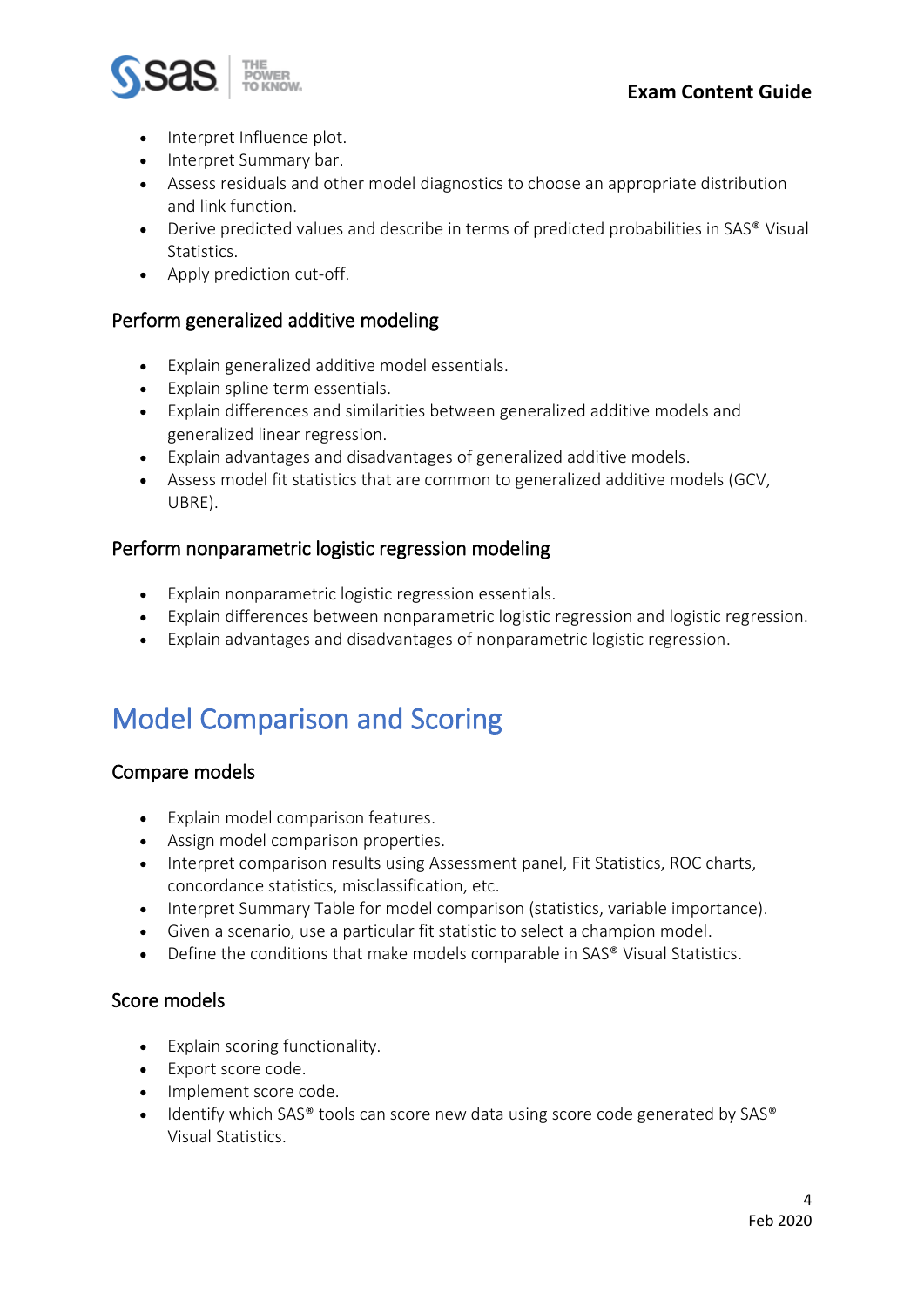

- Interpret Influence plot.
- Interpret Summary bar.
- Assess residuals and other model diagnostics to choose an appropriate distribution and link function.
- Derive predicted values and describe in terms of predicted probabilities in SAS® Visual Statistics.
- Apply prediction cut-off.

## Perform generalized additive modeling

- Explain generalized additive model essentials.
- Explain spline term essentials.
- Explain differences and similarities between generalized additive models and generalized linear regression.
- Explain advantages and disadvantages of generalized additive models.
- Assess model fit statistics that are common to generalized additive models (GCV, UBRE).

#### Perform nonparametric logistic regression modeling

- Explain nonparametric logistic regression essentials.
- Explain differences between nonparametric logistic regression and logistic regression.
- Explain advantages and disadvantages of nonparametric logistic regression.

## Model Comparison and Scoring

## Compare models

- Explain model comparison features.
- Assign model comparison properties.
- Interpret comparison results using Assessment panel, Fit Statistics, ROC charts, concordance statistics, misclassification, etc.
- Interpret Summary Table for model comparison (statistics, variable importance).
- Given a scenario, use a particular fit statistic to select a champion model.
- Define the conditions that make models comparable in SAS® Visual Statistics.

#### Score models

- Explain scoring functionality.
- Export score code.
- Implement score code.
- Identify which SAS® tools can score new data using score code generated by SAS® Visual Statistics.